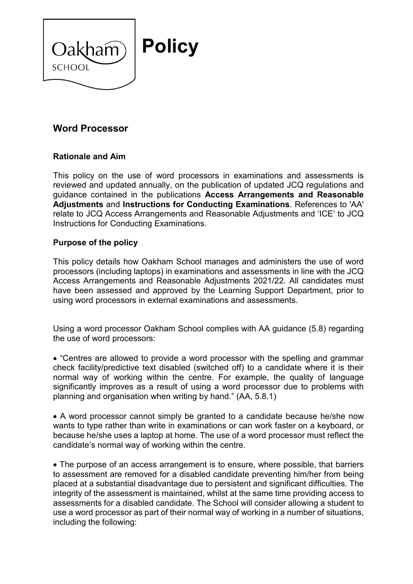

# **Word Processor**

## **Rationale and Aim**

This policy on the use of word processors in examinations and assessments is reviewed and updated annually, on the publication of updated JCQ regulations and guidance contained in the publications **Access Arrangements and Reasonable Adjustments** and **Instructions for Conducting Examinations**. References to 'AA' relate to JCQ Access Arrangements and Reasonable Adjustments and 'ICE' to JCQ Instructions for Conducting Examinations.

## **Purpose of the policy**

This policy details how Oakham School manages and administers the use of word processors (including laptops) in examinations and assessments in line with the JCQ Access Arrangements and Reasonable Adjustments 2021/22. All candidates must have been assessed and approved by the Learning Support Department, prior to using word processors in external examinations and assessments.

Using a word processor Oakham School complies with AA guidance (5.8) regarding the use of word processors:

• "Centres are allowed to provide a word processor with the spelling and grammar check facility/predictive text disabled (switched off) to a candidate where it is their normal way of working within the centre. For example, the quality of language significantly improves as a result of using a word processor due to problems with planning and organisation when writing by hand." (AA, 5.8.1)

• A word processor cannot simply be granted to a candidate because he/she now wants to type rather than write in examinations or can work faster on a keyboard, or because he/she uses a laptop at home. The use of a word processor must reflect the candidate's normal way of working within the centre.

• The purpose of an access arrangement is to ensure, where possible, that barriers to assessment are removed for a disabled candidate preventing him/her from being placed at a substantial disadvantage due to persistent and significant difficulties. The integrity of the assessment is maintained, whilst at the same time providing access to assessments for a disabled candidate. The School will consider allowing a student to use a word processor as part of their normal way of working in a number of situations, including the following: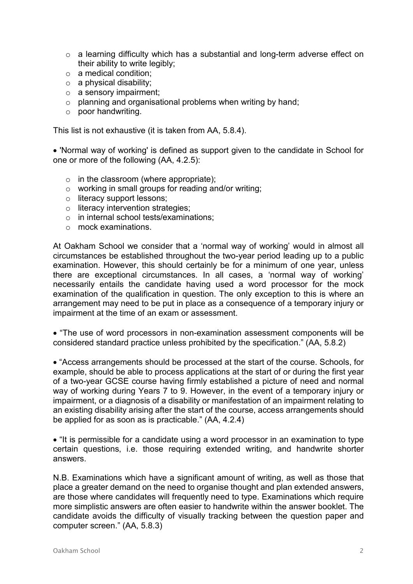- o a learning difficulty which has a substantial and long-term adverse effect on their ability to write legibly;
- o a medical condition;
- $\circ$  a physical disability;
- o a sensory impairment;
- o planning and organisational problems when writing by hand;
- o poor handwriting.

This list is not exhaustive (it is taken from AA, 5.8.4).

• 'Normal way of working' is defined as support given to the candidate in School for one or more of the following (AA, 4.2.5):

- $\circ$  in the classroom (where appropriate);
- o working in small groups for reading and/or writing;
- o literacy support lessons;
- o literacy intervention strategies;
- o in internal school tests/examinations;
- o mock examinations.

At Oakham School we consider that a 'normal way of working' would in almost all circumstances be established throughout the two-year period leading up to a public examination. However, this should certainly be for a minimum of one year, unless there are exceptional circumstances. In all cases, a 'normal way of working' necessarily entails the candidate having used a word processor for the mock examination of the qualification in question. The only exception to this is where an arrangement may need to be put in place as a consequence of a temporary injury or impairment at the time of an exam or assessment.

• "The use of word processors in non-examination assessment components will be considered standard practice unless prohibited by the specification." (AA, 5.8.2)

• "Access arrangements should be processed at the start of the course. Schools, for example, should be able to process applications at the start of or during the first year of a two-year GCSE course having firmly established a picture of need and normal way of working during Years 7 to 9. However, in the event of a temporary injury or impairment, or a diagnosis of a disability or manifestation of an impairment relating to an existing disability arising after the start of the course, access arrangements should be applied for as soon as is practicable." (AA, 4.2.4)

• "It is permissible for a candidate using a word processor in an examination to type certain questions, i.e. those requiring extended writing, and handwrite shorter answers.

N.B. Examinations which have a significant amount of writing, as well as those that place a greater demand on the need to organise thought and plan extended answers, are those where candidates will frequently need to type. Examinations which require more simplistic answers are often easier to handwrite within the answer booklet. The candidate avoids the difficulty of visually tracking between the question paper and computer screen." (AA, 5.8.3)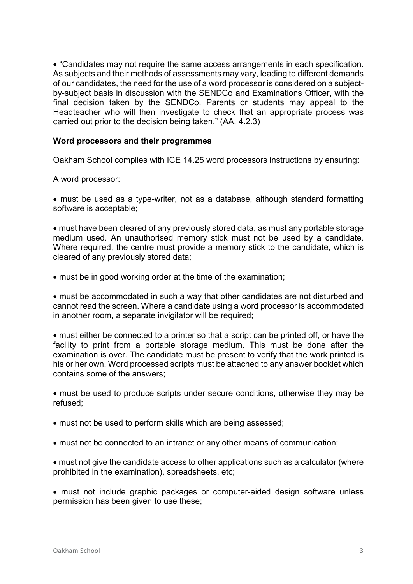• "Candidates may not require the same access arrangements in each specification. As subjects and their methods of assessments may vary, leading to different demands of our candidates, the need for the use of a word processor is considered on a subjectby-subject basis in discussion with the SENDCo and Examinations Officer, with the final decision taken by the SENDCo. Parents or students may appeal to the Headteacher who will then investigate to check that an appropriate process was carried out prior to the decision being taken." (AA, 4.2.3)

#### **Word processors and their programmes**

Oakham School complies with ICE 14.25 word processors instructions by ensuring:

A word processor:

• must be used as a type-writer, not as a database, although standard formatting software is acceptable;

• must have been cleared of any previously stored data, as must any portable storage medium used. An unauthorised memory stick must not be used by a candidate. Where required, the centre must provide a memory stick to the candidate, which is cleared of any previously stored data;

• must be in good working order at the time of the examination;

• must be accommodated in such a way that other candidates are not disturbed and cannot read the screen. Where a candidate using a word processor is accommodated in another room, a separate invigilator will be required;

• must either be connected to a printer so that a script can be printed off, or have the facility to print from a portable storage medium. This must be done after the examination is over. The candidate must be present to verify that the work printed is his or her own. Word processed scripts must be attached to any answer booklet which contains some of the answers;

• must be used to produce scripts under secure conditions, otherwise they may be refused;

- must not be used to perform skills which are being assessed;
- must not be connected to an intranet or any other means of communication;

• must not give the candidate access to other applications such as a calculator (where prohibited in the examination), spreadsheets, etc;

• must not include graphic packages or computer-aided design software unless permission has been given to use these;